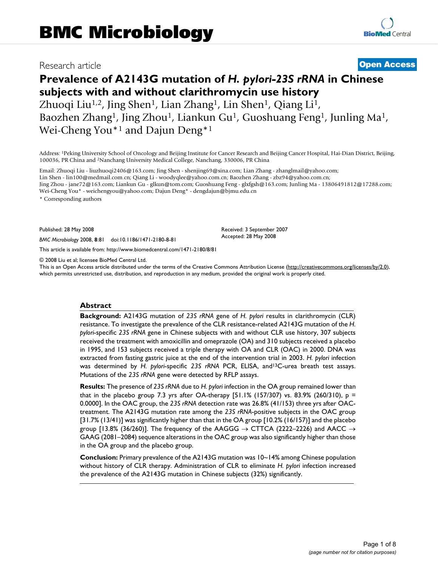# Research article **[Open Access](http://www.biomedcentral.com/info/about/charter/)**

# **Prevalence of A2143G mutation of** *H. pylori-23S rRNA* **in Chinese subjects with and without clarithromycin use history**

Zhuoqi Liu<sup>1,2</sup>, Jing Shen<sup>1</sup>, Lian Zhang<sup>1</sup>, Lin Shen<sup>1</sup>, Qiang Li<sup>1</sup>, Baozhen Zhang1, Jing Zhou1, Liankun Gu1, Guoshuang Feng1, Junling Ma1, Wei-Cheng You\*1 and Dajun Deng\*1

Address: 1Peking University School of Oncology and Beijing Institute for Cancer Research and Beijing Cancer Hospital, Hai-Dian District, Beijing, 100036, PR China and 2Nanchang University Medical College, Nanchang, 330006, PR China

Email: Zhuoqi Liu - liuzhuoqi2406@163.com; Jing Shen - shenjing69@sina.com; Lian Zhang - zhanglmail@yahoo.com; Lin Shen - lin100@medmail.com.cn; Qiang Li - woodyqlee@yahoo.com.cn; Baozhen Zhang - zbz94@yahoo.com.cn; Jing Zhou - jane72@163.com; Liankun Gu - glkun@tom.com; Guoshuang Feng - glxfgsh@163.com; Junling Ma - 13806491812@17288.com; Wei-Cheng You\* - weichengyou@yahoo.com; Dajun Deng\* - dengdajun@bjmu.edu.cn

\* Corresponding authors

Published: 28 May 2008

*BMC Microbiology* 2008, **8**:81 doi:10.1186/1471-2180-8-81

[This article is available from: http://www.biomedcentral.com/1471-2180/8/81](http://www.biomedcentral.com/1471-2180/8/81)

© 2008 Liu et al; licensee BioMed Central Ltd.

This is an Open Access article distributed under the terms of the Creative Commons Attribution License [\(http://creativecommons.org/licenses/by/2.0\)](http://creativecommons.org/licenses/by/2.0), which permits unrestricted use, distribution, and reproduction in any medium, provided the original work is properly cited.

Received: 3 September 2007 Accepted: 28 May 2008

#### **Abstract**

**Background:** A2143G mutation of *23S rRNA* gene of *H. pylori* results in clarithromycin (CLR) resistance. To investigate the prevalence of the CLR resistance-related A2143G mutation of the *H. pylori*-specific *23S rRNA* gene in Chinese subjects with and without CLR use history, 307 subjects received the treatment with amoxicillin and omeprazole (OA) and 310 subjects received a placebo in 1995, and 153 subjects received a triple therapy with OA and CLR (OAC) in 2000. DNA was extracted from fasting gastric juice at the end of the intervention trial in 2003. *H. pylori* infection was determined by *H. pylori*-specific *23S rRNA* PCR, ELISA, and13C-urea breath test assays. Mutations of the *23S rRNA* gene were detected by RFLP assays.

**Results:** The presence of *23S rRNA* due to *H. pylori* infection in the OA group remained lower than that in the placebo group 7.3 yrs after OA-therapy [51.1% (157/307) vs. 83.9% (260/310),  $p =$ 0.0000]. In the OAC group, the *23S rRNA* detection rate was 26.8% (41/153) three yrs after OACtreatment. The A2143G mutation rate among the *23S rRNA*-positive subjects in the OAC group [31.7% (13/41)] was significantly higher than that in the OA group [10.2% (16/157)] and the placebo group [13.8% (36/260)]. The frequency of the AAGGG  $\rightarrow$  CTTCA (2222–2226) and AACC  $\rightarrow$ GAAG (2081–2084) sequence alterations in the OAC group was also significantly higher than those in the OA group and the placebo group.

**Conclusion:** Primary prevalence of the A2143G mutation was 10~14% among Chinese population without history of CLR therapy. Administration of CLR to eliminate *H. pylori* infection increased the prevalence of the A2143G mutation in Chinese subjects (32%) significantly.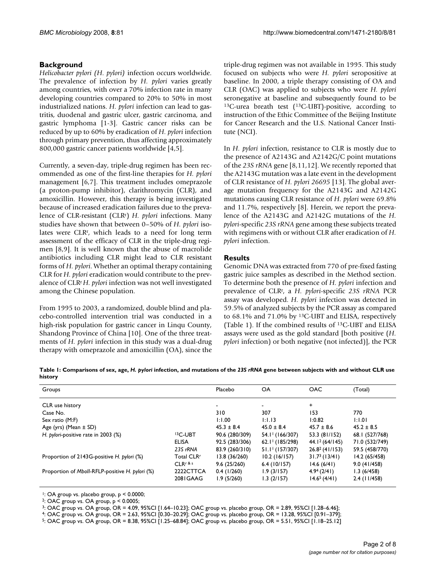### **Background**

*Helicobacter pylori (H. pylori)* infection occurs worldwide. The prevalence of infection by *H. pylori* varies greatly among countries, with over a 70% infection rate in many developing countries compared to 20% to 50% in most industrialized nations. *H. pylori* infection can lead to gastritis, duodenal and gastric ulcer, gastric carcinoma, and gastric lymphoma [1-3]. Gastric cancer risks can be reduced by up to 60% by eradication of *H. pylori* infection through primary prevention, thus affecting approximately 800,000 gastric cancer patients worldwide [4,5].

Currently, a seven-day, triple-drug regimen has been recommended as one of the first-line therapies for *H. pylori* management [\[6](#page-6-0)[,7\]](#page-6-1). This treatment includes omeprazole (a proton-pump inhibitor), clarithromycin (CLR), and amoxicillin. However, this therapy is being investigated because of increased eradication failures due to the prevalence of CLR-resistant (CLRr ) *H. pylori* infections. Many studies have shown that between 0–50% of *H. pylori* isolates were CLRr, which leads to a need for long term assessment of the efficacy of CLR in the triple-drug regimen [8,9]. It is well known that the abuse of macrolide antibiotics including CLR might lead to CLR resistant forms of *H. pylori*. Whether an optimal therapy containing CLR for *H. pylori* eradication would contribute to the prevalence of CLRr *H. pylori* infection was not well investigated among the Chinese population.

From 1995 to 2003, a randomized, double blind and placebo-controlled intervention trial was conducted in a high-risk population for gastric cancer in Linqu County, Shandong Province of China [10]. One of the three treatments of *H. pylori* infection in this study was a dual-drug therapy with omeprazole and amoxicillin (OA), since the triple-drug regimen was not available in 1995. This study focused on subjects who were *H. pylori* seropositive at baseline. In 2000, a triple therapy consisting of OA and CLR (OAC) was applied to subjects who were *H. pylori* seronegative at baseline and subsequently found to be 13C-urea breath test (13C-UBT)-positive, according to instruction of the Ethic Committee of the Beijing Institute for Cancer Research and the U.S. National Cancer Institute (NCI).

In *H. pylori* infection, resistance to CLR is mostly due to the presence of A2143G and A2142G/C point mutations of the *23S rRNA* gene [8,11,12]. We recently reported that the A2143G mutation was a late event in the development of CLR resistance of *H. pylori 26695* [13]. The global average mutation frequency for the A2143G and A2142G mutations causing CLR resistance of *H. pylori* were 69.8% and 11.7%, respectively [8]. Herein, we report the prevalence of the A2143G and A2142G mutations of the *H. pylori*-specific *23S rRNA* gene among these subjects treated with regimens with or without CLR after eradication of *H. pylori* infection.

#### **Results**

Genomic DNA was extracted from 770 of pre-fixed fasting gastric juice samples as described in the Method section. To determine both the presence of *H. pylori* infection and prevalence of CLRr, a *H. pylori*-specific *23S rRNA* PCR assay was developed. *H. pylori* infection was detected in 59.5% of analyzed subjects by the PCR assay as compared to 68.1% and 71.0% by 13C-UBT and ELISA, respectively (Table 1). If the combined results of 13C-UBT and ELISA assays were used as the gold standard [both positive (*H. pylori* infection) or both negative (not infected)], the PCR

**Table 1: Comparisons of sex, age,** *H. pylori* **infection, and mutations of the** *23S rRNA* **gene between subjects with and without CLR use history**

| Groups                                          |                        | Placebo        | OA                            | <b>OAC</b>                | (Total)        |
|-------------------------------------------------|------------------------|----------------|-------------------------------|---------------------------|----------------|
|                                                 |                        |                |                               |                           |                |
| CLR use history                                 |                        |                | $\overline{\phantom{a}}$      | $\ddot{}$                 |                |
| Case No.                                        |                        | 310            | 307                           | 153                       | 770            |
| Sex ratio (M:F)                                 |                        | 1:1.00         | 1:1.13                        | 1:0.82                    | 1:1.01         |
| Age (yrs) (Mean $\pm$ SD)                       |                        | $45.3 \pm 8.4$ | $45.0 \pm 8.4$                | $45.7 \pm 8.6$            | $45.2 \pm 8.5$ |
| H. pylori-positive rate in 2003 (%)             | <sup>13</sup> C-UBT    | 90.6 (280/309) | $54.1$ <sup>1</sup> (166/307) | 53.3 (81/152)             | 68.1 (527/768) |
|                                                 | ELISA                  | 92.5 (283/306) | $62.1$ <sup>1</sup> (185/298) | $44.1^{2}(64/145)$        | 71.0 (532/749) |
|                                                 | 23S rRNA               | 83.9 (260/310) | $51.1$ <sup>1</sup> (157/307) | $26.8^2(41/153)$          | 59.5 (458/770) |
| Proportion of 2143G-positive H. pylori (%)      | Total CLR <sup>r</sup> | 13.8 (36/260)  | $10.2$ (16/157)               | 31.7 <sup>3</sup> (13/41) | 14.2 (65/458)  |
|                                                 | $CLRr$ & s             | 9.6(25/260)    | $6.4$ (10/157)                | 14.6(6/4)                 | 9.0(41/458)    |
| Proportion of Mboll-RFLP-positive H. pylori (%) | 2222CTTCA              | $0.4$ (1/260)  | 1.9(3/157)                    | 4.94(2/4)                 | 1.3(6/458)     |
|                                                 | 2081GAAG               | 1.9(5/260)     | 1.3(2/157)                    | $14.65$ (4/41)            | $2.4$ (11/458) |

1: OA group vs. placebo group, p < 0.0000;

2: OAC group vs. OA group, p < 0.0005;

3: OAC group vs. OA group, OR = 4.09, 95%CI [1.64–10.23]; OAC group vs. placebo group, OR = 2.89, 95%CI [1.28–6.46];

4: OAC group vs. OA group, OR = 2.63, 95%CI [0.30–20.29]; OAC group vs. placebo group, OR = 13.28, 95%CI [0.91–379];

5: OAC group vs. OA group, OR = 8.38, 95%CI [1.25–68.84]; OAC group vs. placebo group, OR = 5.51, 95%CI [1.18–25.12]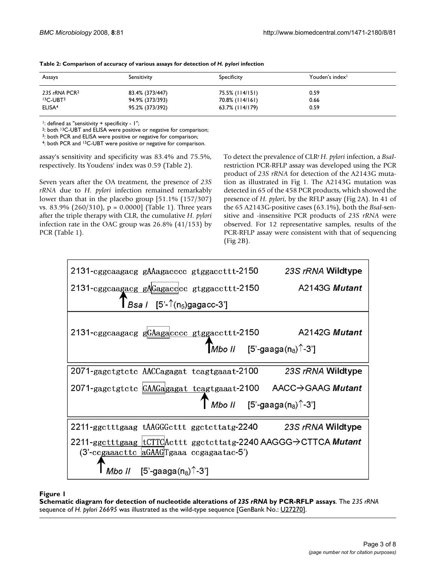| Assays                    | Sensitivity     | Specificity     | Youden's index <sup>1</sup> |  |
|---------------------------|-----------------|-----------------|-----------------------------|--|
| 23S rRNA PCR <sup>2</sup> | 83.4% (373/447) | 75.5% (114/151) | 0.59                        |  |
| $13C$ -UBT $3$            | 94.9% (373/393) | 70.8% (114/161) | 0.66                        |  |
| ELISA <sup>4</sup>        | 95.2% (373/392) | 63.7% (114/179) | 0.59                        |  |

| Table 2: Comparison of accuracy of various assays for detection of H. pylori infection |  |  |  |
|----------------------------------------------------------------------------------------|--|--|--|
|----------------------------------------------------------------------------------------|--|--|--|

 $1$ : defined as "sensitivity + specificity -  $1$ ";

2: both 13C-UBT and ELISA were positive or negative for comparison;

3: both PCR and ELISA were positive or negative for comparison;

4: both PCR and 13C-UBT were positive or negative for comparison.

assay's sensitivity and specificity was 83.4% and 75.5%, respectively. Its Youdens' index was 0.59 (Table 2).

Seven years after the OA treatment, the presence of *23S rRNA* due to *H. pylori* infection remained remarkably lower than that in the placebo group [51.1% (157/307) vs. 83.9% (260/310),  $p = 0.0000$  (Table 1). Three years after the triple therapy with CLR, the cumulative *H. pylori* infection rate in the OAC group was 26.8% (41/153) by PCR (Table 1).

To detect the prevalence of CLRr *H. pylori* infection, a *BsaI*restriction PCR-RFLP assay was developed using the PCR product of *23S rRNA* for detection of the A2143G mutation as illustrated in Fig 1. The A2143G mutation was detected in 65 of the 458 PCR products, which showed the presence of *H. pylori*, by the RFLP assay (Fig 2A). In 41 of the 65 A2143G-positive cases (63.1%), both the *BsaI*-sensitive and -insensitive PCR products of *23S rRNA* were observed. For 12 representative samples, results of the PCR-RFLP assay were consistent with that of sequencing (Fig 2B).



Schematic diagram for detection **Figure 1** of nucleotide alterations of *23S rRNA* by PCR-RFLP assays **Schematic diagram for detection of nucleotide alterations of** *23S rRNA* **by PCR-RFLP assays**. The *23S rRNA*  sequence of *H. pylori 26695* was illustrated as the wild-type sequence [GenBank No.: [U27270\]](http://www.ncbi.nih.gov/entrez/query.fcgi?db=Nucleotide&cmd=search&term=U27270).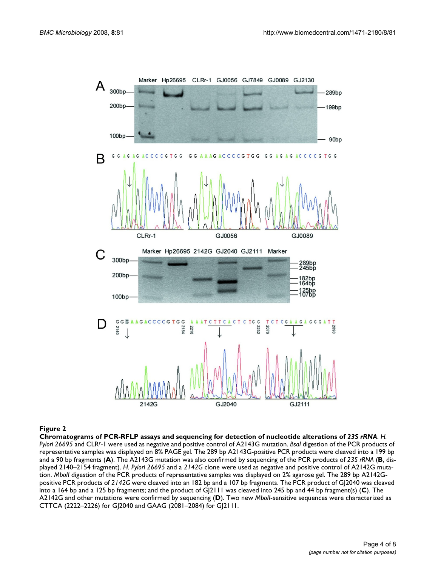

**Chromatograms of PCR-RFLP assays and sequencing for detection of nucleotide alterations of** *23S rRNA*. *H. Pylori 26695* and CLRr-1 were used as negative and positive control of A2143G mutation. *BsaI* digestion of the PCR products of representative samples was displayed on 8% PAGE gel. The 289 bp A2143G-positive PCR products were cleaved into a 199 bp and a 90 bp fragments (**A**). The A2143G mutation was also confirmed by sequencing of the PCR products of *23S rRNA* (**B**, displayed 2140–2154 fragment). *H. Pylori 26695* and a *2142G* clone were used as negative and positive control of A2142G mutation. *MboII* digestion of the PCR products of representative samples was displayed on 2% agarose gel. The 289 bp A2142Gpositive PCR products of *2142G* were cleaved into an 182 bp and a 107 bp fragments. The PCR product of GJ2040 was cleaved into a 164 bp and a 125 bp fragments; and the product of GJ2111 was cleaved into 245 bp and 44 bp fragment(s) (**C**). The A2142G and other mutations were confirmed by sequencing (**D**). Two new *MboII*-sensitive sequences were characterized as CTTCA (2222–2226) for GJ2040 and GAAG (2081–2084) for GJ2111.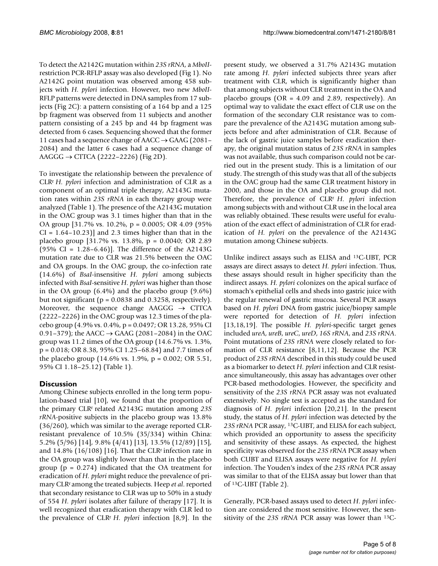To detect the A2142G mutation within *23S rRNA*, a *MboII*restriction PCR-RFLP assay was also developed (Fig 1). No A2142G point mutation was observed among 458 subjects with *H. pylori* infection. However, two new *MboII*-RFLP patterns were detected in DNA samples from 17 subjects (Fig 2C): a pattern consisting of a 164 bp and a 125 bp fragment was observed from 11 subjects and another pattern consisting of a 245 bp and 44 bp fragment was detected from 6 cases. Sequencing showed that the former 11 cases had a sequence change of  $AACC \rightarrow GAAG$  (2081– 2084) and the latter 6 cases had a sequence change of AAGGG  $\rightarrow$  CTTCA (2222–2226) (Fig 2D).

To investigate the relationship between the prevalence of CLRr *H. pylori* infection and administration of CLR as a component of an optimal triple therapy, A2143G mutation rates within *23S rRNA* in each therapy group were analyzed (Table 1). The presence of the A2143G mutation in the OAC group was 3.1 times higher than that in the OA group [31.7% vs. 10.2%, p = 0.0005; OR 4.09 (95%  $CI = 1.64 - 10.23$ ] and 2.3 times higher than that in the placebo group [31.7% vs. 13.8%, p = 0.0040; OR 2.89 (95% CI =  $1.28-6.46$ )]. The difference of the A2143G mutation rate due to CLR was 21.5% between the OAC and OA groups. In the OAC group, the co-infection rate (14.6%) of *BsaI*-insensitive *H. pylori* among subjects infected with *BsaI*-sensitive *H. pylori* was higher than those in the OA group (6.4%) and the placebo group (9.6%) but not significant ( $p = 0.0838$  and 0.3258, respectively). Moreover, the sequence change  $\text{AAGGG} \rightarrow \text{CTTCA}$ (2222–2226) in the OAC group was 12.3 times of the placebo group (4.9% vs. 0.4%, p = 0.0497; OR 13.28, 95% CI 0.91–379); the AACC  $\rightarrow$  GAAG (2081–2084) in the OAC group was 11.2 times of the OA group (14.6.7% vs. 1.3%, p = 0.018; OR 8.38, 95% CI 1.25–68.84) and 7.7 times of the placebo group (14.6% vs. 1.9%, p = 0.002; OR 5.51, 95% CI 1.18–25.12) (Table 1).

## **Discussion**

Among Chinese subjects enrolled in the long term population-based trial [10], we found that the proportion of the primary CLRr related A2143G mutation among *23S rRNA*-positive subjects in the placebo group was 13.8% (36/260), which was similar to the average reported CLRresistant prevalence of 10.5% (35/334) within China: 5.2% (5/96) [14], 9.8% (4/41) [13], 13.5% (12/89) [\[15](#page-7-0)], and 14.8%  $(16/108)$  [16]. That the CLR<sup>r</sup> infection rate in the OA group was slightly lower than that in the placebo group ( $p = 0.274$ ) indicated that the OA treatment for eradication of *H. pylori* might reduce the prevalence of primary CLRr among the treated subjects. Heep *et al*. reported that secondary resistance to CLR was up to 50% in a study of 554 *H. pylori* isolates after failure of therapy [17]. It is well recognized that eradication therapy with CLR led to the prevalence of CLRr *H. pylori* infection [8,9]. In the

present study, we observed a 31.7% A2143G mutation rate among *H. pylori* infected subjects three years after treatment with CLR, which is significantly higher than that among subjects without CLR treatment in the OA and placebo groups (OR = 4.09 and 2.89, respectively). An optimal way to validate the exact effect of CLR use on the formation of the secondary CLR resistance was to compare the prevalence of the A2143G mutation among subjects before and after administration of CLR. Because of the lack of gastric juice samples before eradication therapy, the original mutation status of *23S rRNA* in samples was not available, thus such comparison could not be carried out in the present study. This is a limitation of our study. The strength of this study was that all of the subjects in the OAC group had the same CLR treatment history in 2000, and those in the OA and placebo group did not. Therefore, the prevalence of CLRr *H. pylori* infection among subjects with and without CLR use in the local area was reliably obtained. These results were useful for evaluation of the exact effect of administration of CLR for eradication of *H. pylori* on the prevalence of the A2143G mutation among Chinese subjects.

Unlike indirect assays such as ELISA and 13C-UBT, PCR assays are direct assays to detect *H. pylori* infection. Thus, these assays should result in higher specificity than the indirect assays. *H. pylori* colonizes on the apical surface of stomach's epithelial cells and sheds into gastric juice with the regular renewal of gastric mucosa. Several PCR assays based on *H. pylori* DNA from gastric juice/biopsy sample were reported for detection of *H. pylori* infection [13,18,19]. The possible *H. pylori*-specific target genes included *ureA*, *ureB*, *ureC*, *ureD*, *16S rRNA*, and *23S rRNA*. Point mutations of *23S rRNA* were closely related to formation of CLR resistance [8,11,12]. Because the PCR product of *23S rRNA* described in this study could be used as a biomarker to detect *H. pylori* infection and CLR resistance simultaneously, this assay has advantages over other PCR-based methodologies. However, the specificity and sensitivity of the *23S rRNA* PCR assay was not evaluated extensively. No single test is accepted as the standard for diagnosis of *H. pylori* infection [20,21]. In the present study, the status of *H. pylori* infection was detected by the *23S rRNA* PCR assay, 13C-UBT, and ELISA for each subject, which provided an opportunity to assess the specificity and sensitivity of these assays. As expected, the highest specificity was observed for the *23S rRNA* PCR assay when both CUBT and ELISA assays were negative for *H. pylori* infection. The Youden's index of the *23S rRNA* PCR assay was similar to that of the ELISA assay but lower than that of 13C-UBT (Table 2).

Generally, PCR-based assays used to detect *H. pylori* infection are considered the most sensitive. However, the sensitivity of the *23S rRNA* PCR assay was lower than 13C-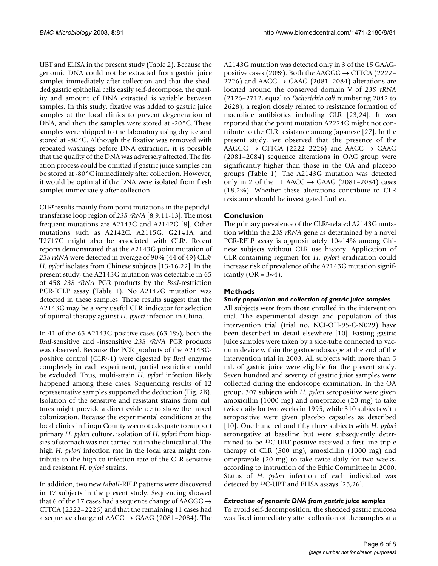UBT and ELISA in the present study (Table 2). Because the genomic DNA could not be extracted from gastric juice samples immediately after collection and that the shedded gastric epithelial cells easily self-decompose, the quality and amount of DNA extracted is variable between samples. In this study, fixative was added to gastric juice samples at the local clinics to prevent degeneration of DNA, and then the samples were stored at -20°C. These samples were shipped to the laboratory using dry ice and stored at -80°C. Although the fixative was removed with repeated washings before DNA extraction, it is possible that the quality of the DNA was adversely affected. The fixation process could be omitted if gastric juice samples can be stored at -80°C immediately after collection. However, it would be optimal if the DNA were isolated from fresh samples immediately after collection.

CLRr results mainly from point mutations in the peptidyltransferase loop region of *23S rRNA* [8,9,11-13]. The most frequent mutations are A2143G and A2142G [8]. Other mutations such as A2142C, A2115G, G2141A, and T2717C might also be associated with CLR<sup>r</sup>. Recent reports demonstrated that the A2143G point mutation of *23S rRNA* were detected in average of 90% (44 of 49) CLRr *H. pylori* isolates from Chinese subjects [13-16,22]. In the present study, the A2143G mutation was detectable in 65 of 458 *23S rRNA* PCR products by the *BsaI*-restriction PCR-RFLP assay (Table 1). No A2142G mutation was detected in these samples. These results suggest that the A2143G may be a very useful CLR<sup>r</sup> indicator for selection of optimal therapy against *H. pylori* infection in China.

In 41 of the 65 A2143G-positive cases (63.1%), both the *BsaI*-sensitive and -insensitive *23S rRNA* PCR products was observed. Because the PCR products of the A2143Gpositive control (CLRr -1) were digested by *BsaI* enzyme completely in each experiment, partial restriction could be excluded. Thus, multi-strain *H. pylori* infection likely happened among these cases. Sequencing results of 12 representative samples supported the deduction (Fig. 2B). Isolation of the sensitive and resistant strains from cultures might provide a direct evidence to show the mixed colonization. Because the experimental conditions at the local clinics in Linqu County was not adequate to support primary *H. pylori* culture, isolation of *H. pylori* from biopsies of stomach was not carried out in the clinical trial. The high *H. pylori* infection rate in the local area might contribute to the high co-infection rate of the CLR sensitive and resistant *H. pylori* strains.

In addition, two new *MboII*-RFLP patterns were discovered in 17 subjects in the present study. Sequencing showed that 6 of the 17 cases had a sequence change of AAGGG  $\rightarrow$ CTTCA (2222–2226) and that the remaining 11 cases had a sequence change of AACC  $\rightarrow$  GAAG (2081–2084). The A2143G mutation was detected only in 3 of the 15 GAAGpositive cases (20%). Both the AAGGG  $\rightarrow$  CTTCA (2222– 2226) and AACC  $\rightarrow$  GAAG (2081–2084) alterations are located around the conserved domain V of *23S rRNA* (2126–2712, equal to *Escherichia coli* numbering 2042 to 2628), a region closely related to resistance formation of macrolide antibiotics including CLR [23,24]. It was reported that the point mutation A2224G might not contribute to the CLR resistance among Japanese [27]. In the present study, we observed that the presence of the AAGGG  $\rightarrow$  CTTCA (2222–2226) and AACC  $\rightarrow$  GAAG (2081–2084) sequence alterations in OAC group were significantly higher than those in the OA and placebo groups (Table 1). The A2143G mutation was detected only in 2 of the 11 AACC  $\rightarrow$  GAAG (2081–2084) cases (18.2%). Whether these alterations contribute to CLR resistance should be investigated further.

### **Conclusion**

The primary prevalence of the CLRr -related A2143G mutation within the *23S rRNA* gene as determined by a novel PCR-RFLP assay is approximately 10~14% among Chinese subjects without CLR use history. Application of CLR-containing regimen for *H. pylori* eradication could increase risk of prevalence of the A2143G mutation significantly (OR =  $3\sim4$ ).

### **Methods**

#### *Study population and collection of gastric juice samples*

All subjects were from those enrolled in the intervention trial. The experimental design and population of this intervention trial (trial no. NCI-OH-95-C-N029) have been described in detail elsewhere [10]. Fasting gastric juice samples were taken by a side-tube connected to vacuum device within the gastroendoscope at the end of the intervention trial in 2003. All subjects with more than 5 mL of gastric juice were eligible for the present study. Seven hundred and seventy of gastric juice samples were collected during the endoscope examination. In the OA group, 307 subjects with *H. pylori* seropositive were given amoxicillin (1000 mg) and omeprazole (20 mg) to take twice daily for two weeks in 1995, while 310 subjects with seropositive were given placebo capsules as described [10]. One hundred and fifty three subjects with *H. pylori* seronegative at baseline but were subsequently determined to be 13C-UBT-positive received a first-line triple therapy of CLR (500 mg), amoxicillin (1000 mg) and omeprazole (20 mg) to take twice daily for two weeks, according to instruction of the Ethic Committee in 2000. Status of *H. pylori* infection of each individual was detected by 13C-UBT and ELISA assays [25[,26\]](#page-7-1).

### *Extraction of genomic DNA from gastric juice samples*

To avoid self-decomposition, the shedded gastric mucosa was fixed immediately after collection of the samples at a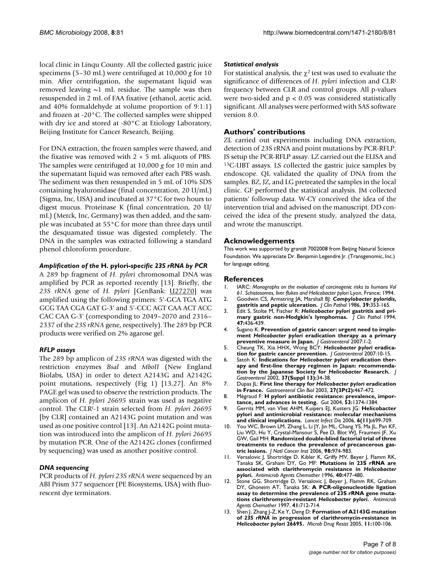local clinic in Linqu County. All the collected gastric juice specimens (5–30 mL) were centrifuged at 10,000 *g* for 10 min. After centrifugation, the supernatant liquid was removed leaving  $~1$  mL residue. The sample was then resuspended in 2 mL of FAA fixative (ethanol, acetic acid, and 40% formaldehyde at volume proportion of 9:1:1) and frozen at -20°C. The collected samples were shipped with dry ice and stored at -80°C at Etiology Laboratory, Beijing Institute for Cancer Research, Beijing.

For DNA extraction, the frozen samples were thawed, and the fixative was removed with  $2 \times 5$  mL aliquots of PBS. The samples were centrifuged at 10,000 *g* for 10 min and the supernatant liquid was removed after each PBS wash. The sediment was then resuspended in 5 mL of 10% SDS containing hyaluronidase (final concentration, 20 U/mL) (Sigma, Inc, USA) and incubated at 37°C for two hours to digest mucus. Proteinase K (final concentration, 20 U/ mL) (Merck, Inc, Germany) was then added, and the sample was incubated at 55°C for more than three days until the desquamated tissue was digested completely. The DNA in the samples was extracted following a standard phenol chloroform procedure.

#### *Amplification of the* **H. pylori***-specific 23S rRNA by PCR*

A 289 bp fragment of *H. pylori* chromosomal DNA was amplified by PCR as reported recently [13]. Briefly, the *23S rRNA* gene of *H. pylori* [GenBank: [U27270\]](http://www.ncbi.nih.gov/entrez/query.fcgi?db=Nucleotide&cmd=search&term=U27270) was amplified using the following primers: 5'-GCA TGA ATG GCG TAA CGA GAT G-3' and 5'-CCC AGT CAA ACT ACC CAC CAA G-3' (corresponding to 2049–2070 and 2316– 2337 of the *23S rRNA* gene, respectively). The 289 bp PCR products were verified on 2% agarose gel.

#### *RFLP assays*

The 289 bp amplicon of *23S rRNA* was digested with the restriction enzymes *BsaI* and *MboII* (New England Biolabs, USA) in order to detect A2143G and A2142G point mutations, respectively (Fig 1) [13,27]. An 8% PAGE gel was used to observe the restriction products. The amplicon of *H. pylori 26695* strain was used as negative control. The CLRr -1 strain selected from *H. pylori 26695* [by CLR] contained an A2143G point mutation and was used as one positive control [13]. An A2142G point mutation was introduced into the amplicon of *H. pylori 26695* by mutation PCR. One of the A2142G clones (confirmed by sequencing) was used as another positive control.

#### *DNA sequencing*

PCR products of *H. pylori 23S rRNA* were sequenced by an ABI Prism 377 sequencer (PE Biosystems, USA) with fluorescent dye terminators.

#### *Statistical analysis*

For statistical analysis, the  $\chi^2$  test was used to evaluate the significance of differences of *H. pylori* infection and CLRr frequency between CLR and control groups. All p-values were two-sided and  $p < 0.05$  was considered statistically significant. All analyses were performed with SAS software version 8.0.

#### **Authors' contributions**

ZL carried out experiments including DNA extraction, detection of 23S rRNA and point mutations by PCR-RFLP. JS setup the PCR-RFLP assay. LZ carried out the ELISA and 13C-UBT assays. LS collected the gastric juice samples by endoscope. QL validated the quality of DNA from the samples. BZ, JZ, and LG pretreated the samples in the local clinic. GF performed the statistical analysis. JM collected patients' followup data. W-CY conceived the idea of the intervention trial and advised on the manuscript. DD conceived the idea of the present study, analyzed the data, and wrote the manuscript.

#### **Acknowledgements**

This work was supported by grant# 7002008 from Beijing Natural Science Foundation. We appreciate Dr. Benjamin Legendre Jr. (Transgenomic, Inc.) for language editing.

#### **References**

- 1. IARC: *Monographs on the evaluation of carcinogenic risks to humans Vol 61. Schistosomes, liver flukes and Helicobacter pylori* Lyon, France; 1994.
- 2. Goodwin CS, Armstring JA, Marshall BJ: *Campylobacter pyloridis***[,](http://www.ncbi.nlm.nih.gov/entrez/query.fcgi?cmd=Retrieve&db=PubMed&dopt=Abstract&list_uids=3517070) [gastritis and peptic ulceration.](http://www.ncbi.nlm.nih.gov/entrez/query.fcgi?cmd=Retrieve&db=PubMed&dopt=Abstract&list_uids=3517070)** *J Clin Pathol* 1986, **39:**353-165.
- 3. Edit S, Stolte M, Fischer R: *Helicobacter pylori* **[gastritis and pri](http://www.ncbi.nlm.nih.gov/entrez/query.fcgi?cmd=Retrieve&db=PubMed&dopt=Abstract&list_uids=8027397)[mary gastric non-Hodgkin's lymphomas.](http://www.ncbi.nlm.nih.gov/entrez/query.fcgi?cmd=Retrieve&db=PubMed&dopt=Abstract&list_uids=8027397)** *J Clin Pathol* 1994, **47:**436-439.
- 4. Sugano K: **Prevention of gastric cancer: urgent need to implement** *Helicobacter pylori* **eradication therapy as a primary preventive measure in Japan.** *J Gastroenterol* 2007:1-2.
- 5. Cheung TK, Xia HHX, Wong BCY: *Helicobacter pylori* **eradication for gastric cancer prevention.** *J Gastroenterol* 2007:10-15.
- <span id="page-6-0"></span>6. Satoh K: **Indications for** *Helicobacter pylori* **eradication therapy and first-line therapy regimen in Japan: recommendation by the Japanese Society for** *Helicobacter* **[Research.](http://www.ncbi.nlm.nih.gov/entrez/query.fcgi?cmd=Retrieve&db=PubMed&dopt=Abstract&list_uids=12109663)** *J Gastroenterol* 2002, **37(Suppl 13):**34-38.
- <span id="page-6-1"></span>7. Dupas JL: **First line therapy for** *Helicobacter pylori* **[eradication](http://www.ncbi.nlm.nih.gov/entrez/query.fcgi?cmd=Retrieve&db=PubMed&dopt=Abstract&list_uids=12700504) [in France.](http://www.ncbi.nlm.nih.gov/entrez/query.fcgi?cmd=Retrieve&db=PubMed&dopt=Abstract&list_uids=12700504)** *Gastroenterol Clin Biol* 2003, **27(3Pt2):**467-472.
- 8. Mégraud F: **[H pylori antibiotic resistance: prevalence, impor](http://www.ncbi.nlm.nih.gov/entrez/query.fcgi?cmd=Retrieve&db=PubMed&dopt=Abstract&list_uids=15306603)[tance, and advances in testing.](http://www.ncbi.nlm.nih.gov/entrez/query.fcgi?cmd=Retrieve&db=PubMed&dopt=Abstract&list_uids=15306603)** *Gut* 2004, **53:**1374-1384.
- 9. Gerrits MM, van Vliet AHM, Kuipers EJ, Kusters JG: **[Helicobacter](http://www.ncbi.nlm.nih.gov/entrez/query.fcgi?cmd=Retrieve&db=PubMed&dopt=Abstract&list_uids=17067919) [pylori and antimicrobial resistance: molecular mechanisms](http://www.ncbi.nlm.nih.gov/entrez/query.fcgi?cmd=Retrieve&db=PubMed&dopt=Abstract&list_uids=17067919) [and clinical implications.](http://www.ncbi.nlm.nih.gov/entrez/query.fcgi?cmd=Retrieve&db=PubMed&dopt=Abstract&list_uids=17067919)** *Lancet Infect Dis* 2006, **6(11):**699-709.
- 10. You WC, Brown LM, Zhang L, Li JY, Jin ML, Chang YS, Ma JL, Pan KF, Liu WD, Hu Y, Crystal-Mansour S, Pee D, Blot WJ, Fraumeni JF, Xu GW, Gail MH: **[Randomized double-blind factorial trial of three](http://www.ncbi.nlm.nih.gov/entrez/query.fcgi?cmd=Retrieve&db=PubMed&dopt=Abstract&list_uids=16849680) [treatments to reduce the prevalence of precancerous gas](http://www.ncbi.nlm.nih.gov/entrez/query.fcgi?cmd=Retrieve&db=PubMed&dopt=Abstract&list_uids=16849680)[tric lesions.](http://www.ncbi.nlm.nih.gov/entrez/query.fcgi?cmd=Retrieve&db=PubMed&dopt=Abstract&list_uids=16849680)** *J Natl Cancer Inst* 2006, **98:**974-983.
- 11. Versalovic J, Shortridge D, Kibler K, Griffy MV, Beyer J, Flamm RK, Tanaka SK, Graham DY, Go MF: **Mutations in 23S rRNA are associated with clarithromycin resistance in** *Helicobacter pylori***[.](http://www.ncbi.nlm.nih.gov/entrez/query.fcgi?cmd=Retrieve&db=PubMed&dopt=Abstract&list_uids=8834903)** *Antimicrob Agents Chemother* 1996, **40:**477-480.
- 12. Stone GG, Shortridge D, Versalovic J, Beyer J, Flamm RK, Graham DY, Ghoneim AT, Tanaka SK: **A PCR-oligonucleotide ligation assay to determine the prevalence of 23S rRNA gene mutations clarithromycin-resistant** *Helicobacter pylori***[.](http://www.ncbi.nlm.nih.gov/entrez/query.fcgi?cmd=Retrieve&db=PubMed&dopt=Abstract&list_uids=9056021)** *Antimicrob Agents Chemother* 1997, **41:**712-714.
- 13. Shen J, Zhang J-Z, Ke Y, Deng D: **Formation of A2143G mutation of** *23S rRNA* **in progression of clarithromycin-resistance in** *Helicobacter pylori* **[26695.](http://www.ncbi.nlm.nih.gov/entrez/query.fcgi?cmd=Retrieve&db=PubMed&dopt=Abstract&list_uids=15910222)** *Microb Drug Resist* 2005, **11:**100-106.